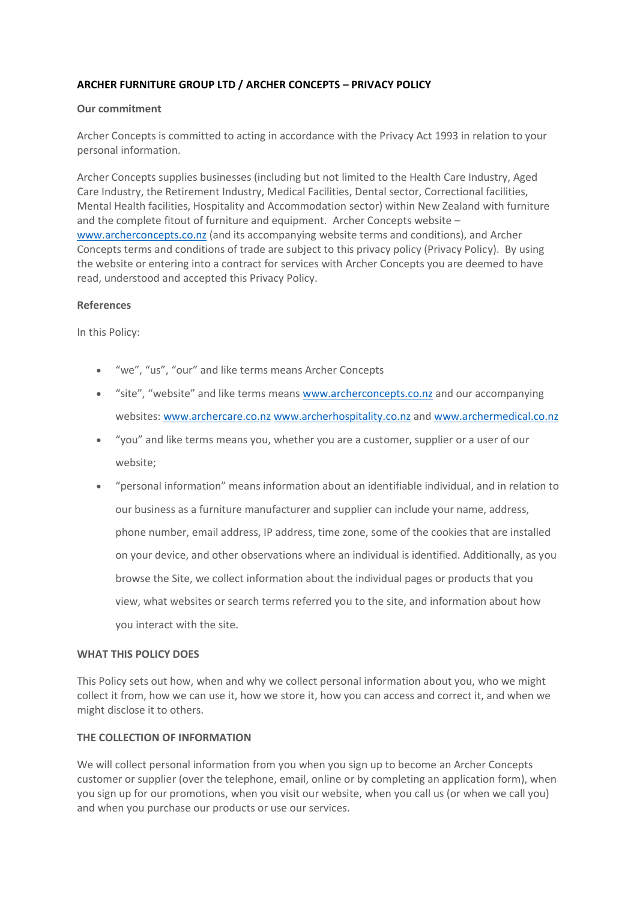# **ARCHER FURNITURE GROUP LTD / ARCHER CONCEPTS – PRIVACY POLICY**

#### **Our commitment**

Archer Concepts is committed to acting in accordance with the Privacy Act 1993 in relation to your personal information.

Archer Concepts supplies businesses (including but not limited to the Health Care Industry, Aged Care Industry, the Retirement Industry, Medical Facilities, Dental sector, Correctional facilities, Mental Health facilities, Hospitality and Accommodation sector) within New Zealand with furniture and the complete fitout of furniture and equipment. Archer Concepts website – [www.archerconcepts.co.nz](http://www.archerconcepts.co.nz/) (and its accompanying website terms and conditions), and Archer Concepts terms and conditions of trade are subject to this privacy policy (Privacy Policy). By using the website or entering into a contract for services with Archer Concepts you are deemed to have read, understood and accepted this Privacy Policy.

#### **References**

In this Policy:

- "we", "us", "our" and like terms means Archer Concepts
- "site", "website" and like terms means [www.archerconcepts.co.nz](http://www.archerconcepts.co.nz/) and our accompanying websites: [www.archercare.co.nz](http://www.archercare.co.nz/) [www.archerhospitality.co.nz](http://www.archerhospitality.co.nz/) and [www.archermedical.co.nz](http://www.archermedical.co.nz/)
- "you" and like terms means you, whether you are a customer, supplier or a user of our website;
- "personal information" means information about an identifiable individual, and in relation to our business as a furniture manufacturer and supplier can include your name, address, phone number, email address, IP address, time zone, some of the cookies that are installed on your device, and other observations where an individual is identified. Additionally, as you browse the Site, we collect information about the individual pages or products that you view, what websites or search terms referred you to the site, and information about how you interact with the site.

### **WHAT THIS POLICY DOES**

This Policy sets out how, when and why we collect personal information about you, who we might collect it from, how we can use it, how we store it, how you can access and correct it, and when we might disclose it to others.

### **THE COLLECTION OF INFORMATION**

We will collect personal information from you when you sign up to become an Archer Concepts customer or supplier (over the telephone, email, online or by completing an application form), when you sign up for our promotions, when you visit our website, when you call us (or when we call you) and when you purchase our products or use our services.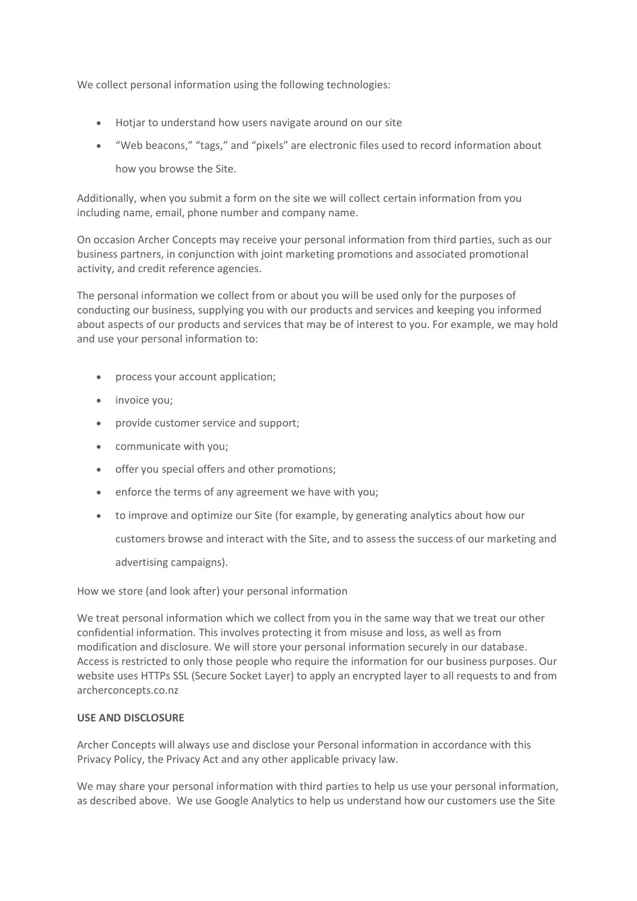We collect personal information using the following technologies:

- Hotjar to understand how users navigate around on our site
- "Web beacons," "tags," and "pixels" are electronic files used to record information about

how you browse the Site.

Additionally, when you submit a form on the site we will collect certain information from you including name, email, phone number and company name.

On occasion Archer Concepts may receive your personal information from third parties, such as our business partners, in conjunction with joint marketing promotions and associated promotional activity, and credit reference agencies.

The personal information we collect from or about you will be used only for the purposes of conducting our business, supplying you with our products and services and keeping you informed about aspects of our products and services that may be of interest to you. For example, we may hold and use your personal information to:

- process your account application;
- invoice you;
- provide customer service and support;
- communicate with you;
- offer you special offers and other promotions;
- enforce the terms of any agreement we have with you;
- to improve and optimize our Site (for example, by generating analytics about how our

customers browse and interact with the Site, and to assess the success of our marketing and

advertising campaigns).

How we store (and look after) your personal information

We treat personal information which we collect from you in the same way that we treat our other confidential information. This involves protecting it from misuse and loss, as well as from modification and disclosure. We will store your personal information securely in our database. Access is restricted to only those people who require the information for our business purposes. Our website uses HTTPs SSL (Secure Socket Layer) to apply an encrypted layer to all requests to and from archerconcepts.co.nz

### **USE AND DISCLOSURE**

Archer Concepts will always use and disclose your Personal information in accordance with this Privacy Policy, the Privacy Act and any other applicable privacy law.

We may share your personal information with third parties to help us use your personal information, as described above. We use Google Analytics to help us understand how our customers use the Site